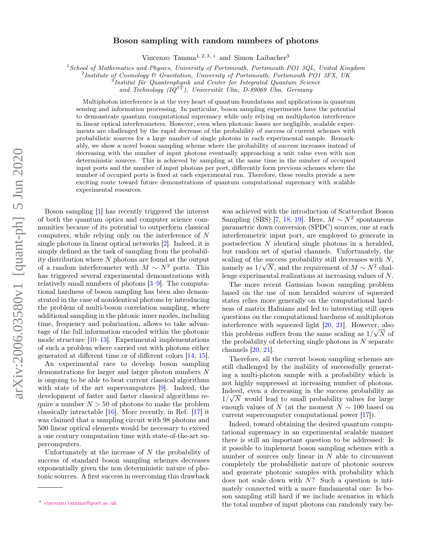## Boson sampling with random numbers of photons

Vincenzo Tamma<sup>1, 2, 3, \*</sup> and Simon Laibacher<sup>3</sup>

 $1$ School of Mathematics and Physics, University of Portsmouth, Portsmouth PO1 3QL, United Kingdom

<sup>2</sup>Institute of Cosmology & Gravitation, University of Portsmouth, Portsmouth PO1 3FX, UK

<sup>3</sup>Institut für Quantenphysik and Center for Integrated Quantum Science

and Technology  $(IQ^{ST})$ , Universität Ulm, D-89069 Ulm, Germany

Multiphoton interference is at the very heart of quantum foundations and applications in quantum sensing and information processing. In particular, boson sampling experiments have the potential to demonstrate quantum computational supremacy while only relying on multiphoton interference in linear optical interferometers. However, even when photonic losses are negligible, scalable experiments are challenged by the rapid decrease of the probability of success of current schemes with probabilistic sources for a large number of single photons in each experimental sample. Remarkably, we show a novel boson sampling scheme where the probability of success increases instead of decreasing with the number of input photons eventually approaching a unit value even with non deterministic sources. This is achieved by sampling at the same time in the number of occupied input ports and the number of input photons per port, differently form previous schemes where the number of occupied ports is fixed at each experimental run. Therefore, these results provide a new exciting route toward future demonstrations of quantum computational supremacy with scalable experimental resources.

Boson sampling [\[1\]](#page-3-0) has recently triggered the interest of both the quantum optics and computer science communities because of its potential to outperform classical computers, while relying only on the interference of N single photons in linear optical networks [\[2\]](#page-3-1). Indeed, it is simply defined as the task of sampling from the probability distribution where  $N$  photons are found at the output of a random interferometer with  $M \sim N^2$  ports. This has triggered several experimental demonstrations with relatively small numbers of photons [\[3](#page-3-2)[–9\]](#page-3-3). The computational hardness of boson sampling has been also demonstrated in the case of nonidentical photons by introducing the problem of multi-boson correlation sampling, where additional sampling in the phtonic inner modes, including time, frequency and polarization, allows to take advantage of the full information encoded within the photonic mode structure [\[10–](#page-3-4)[13\]](#page-4-0). Experimental implementations of such a problem where carried out with photons either generated at different time or of different colors [\[14,](#page-4-1) [15\]](#page-4-2).

An experimental race to develop boson sampling demonstrations for larger and larger photon numbers N is ongoing to be able to beat current classical algorithms with state of the art supercomputers [\[9\]](#page-3-3). Indeed, the development of faster and faster classical algorithms require a number  $N > 50$  of photons to make the problem classically intractable [\[16\]](#page-4-3). More recently, in Ref. [\[17\]](#page-4-4) it was claimed that a sampling circuit with 98 photons and 500 linear optical elements would be necessary to exceed a one century computation time with state-of-the-art supercomputers.

Unfortunately at the increase of  $N$  the probability of success of standard boson sampling schemes decreases exponentially given the non deterministic nature of photonic sources. A first success in overcoming this drawback

was achieved with the introduction of Scattershot Boson Sampling (SBS) [\[7,](#page-3-5) [18,](#page-4-5) [19\]](#page-4-6). Here,  $M \sim N^2$  spontaneous parametric down conversion (SPDC) sources, one at each interferometric input port, are employed to generate in postselection N identical single photons in a heralded, but random set of spatial channels. Unfortunately, the scaling of the success probability still decreases with N, namely as  $1/\sqrt{N}$ , and the requirement of  $M \sim N^2$  challenge experimental realizations at increasing values of N.

The more recent Gaussian boson sampling problem based on the use of non heralded sources of squeezed states relies more generally on the computational hardness of matrix Hafnians and led to interesting still open questions on the computational hardness of multiphoton interference with squeezed light [\[20,](#page-4-7) [21\]](#page-4-8). However, also this problems suffers from the same scaling as  $1/\sqrt{N}$  of the probability of detecting single photons in  $N$  separate channels [\[20,](#page-4-7) [21\]](#page-4-8).

Therefore, all the current boson sampling schemes are still challenged by the inability of successfully generating a multi-photon sample with a probability which is not highly suppressed at increasing number of photons. Indeed, even a decreasing in the success probability as  $1/\sqrt{N}$  would lead to small probability values for large enough values of N (at the moment  $N \sim 100$  based on current supercomputer computational power [\[17\]](#page-4-4)).

Indeed, toward obtaining the desired quantum computational supremacy in an experimental scalable manner there is still an important question to be addressed: Is it possible to implement boson sampling schemes with a number of sources only linear in  $N$  able to circumvent completely the probabilistic nature of photonic sources and generate photonic samples with probability which does not scale down with N? Such a question is intimately connected with a more fundamental one: Is boson sampling still hard if we include scenarios in which the total number of input photons can randomly vary be-

<span id="page-0-0"></span><sup>∗</sup> [vincenzo.tamma@port.ac.uk](mailto:vincenzo.tamma@port.ac.uk)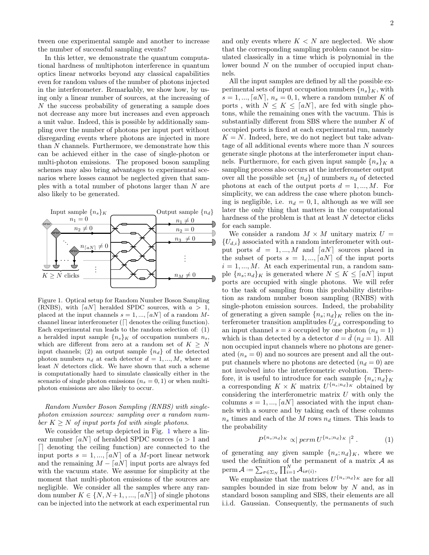tween one experimental sample and another to increase the number of successful sampling events?

In this letter, we demonstrate the quantum computational hardness of multiphoton interference in quantum optics linear networks beyond any classical capabilities even for random values of the number of photons injected in the interferometer. Remarkably, we show how, by using only a linear number of sources, at the increasing of N the success probability of generating a sample does not decrease any more but increases and even approach a unit value. Indeed, this is possible by additionally sampling over the number of photons per input port without disregarding events where photons are injected in more than N channels. Furthermore, we demonstrate how this can be achieved either in the case of single-photon or multi-photon emissions. The proposed boson sampling schemes may also bring advantages to experimental scenarios where losses cannot be neglected given that samples with a total number of photons larger than N are also likely to be generated.



<span id="page-1-0"></span>Figure 1. Optical setup for Random Number Boson Sampling (RNBS), with  $[aN]$  heralded SPDC sources, with  $a > 1$ , placed at the input channels  $s = 1, ..., [aN]$  of a random Mchannel linear interferometer  $(\lceil \rceil$  denotes the ceiling function). Each experimental run leads to the random selection of: (1) a heralded input sample  ${n_s}_{K}$  of occupation numbers  $n_s$ , which are different from zero at a random set of  $K \geq N$ input channels; (2) an output sample  $\{n_d\}$  of the detected photon numbers  $n_d$  at each detector  $d = 1, ..., M$ , where at least N detectors click. We have shown that such a scheme is computationally hard to simulate classically either in the scenario of single photon emissions  $(n_s = 0, 1)$  or when multiphoton emissions are also likely to occur.

Random Number Boson Sampling (RNBS) with singlephoton emission sources: sampling over a random number  $K \geq N$  of input ports fed with single photons.

We consider the setup depicted in Fig. [1](#page-1-0) where a linear number  $[aN]$  of heralded SPDC sources  $(a > 1$  and  $\Box$  denoting the ceiling function) are connected to the input ports  $s = 1, ..., [aN]$  of a M-port linear network and the remaining  $M - \lfloor aN \rfloor$  input ports are always fed with the vacuum state. We assume for simplicity at the moment that multi-photon emissions of the sources are negligible. We consider all the samples where any random number  $K \in \{N, N+1, ..., [aN]\}$  of single photons can be injected into the network at each experimental run

and only events where  $K < N$  are neglected. We show that the corresponding sampling problem cannot be simulated classically in a time which is polynomial in the lower bound N on the number of occupied input channels.

All the input samples are defined by all the possible experimental sets of input occupation numbers  ${n_s}_{K}$ , with  $s = 1, ..., [aN], n_s = 0, 1$ , where a random number K of ports, with  $N \leq K \leq \lceil aN \rceil$ , are fed with single photons, while the remaining ones with the vacuum. This is substantially different from SBS where the number K of occupied ports is fixed at each experimental run, namely  $K = N$ . Indeed, here, we do not neglect but take advantage of all additional events where more than N sources generate single photons at the interferometer input channels. Furthermore, for each given input sample  ${n_s}_{K}$  a sampling process also occurs at the interferometer output over all the possible set  $\{n_d\}$  of numbers  $n_d$  of detected photons at each of the output ports  $d = 1, ..., M$ . For simplicity, we can address the case where photon bunching is negligible, i.e.  $n_d = 0, 1$ , although as we will see later the only thing that matters in the computational hardness of the problem is that at least N detector clicks for each sample.

We consider a random  $M \times M$  unitary matrix  $U =$  ${U_{d,i}}$  associated with a random interferometer with output ports  $d = 1, ..., M$  and  $\lfloor aN \rfloor$  sources placed in the subset of ports  $s = 1, ..., [aN]$  of the input ports  $i = 1, ..., M$ . At each experimental run, a random sample  ${n_s; n_d}_K$  is generated where  $N \leq K \leq \lceil aN \rceil$  input ports are occupied with single photons. We will refer to the task of sampling from this probability distribution as random number boson sampling (RNBS) with single-photon emission sources. Indeed, the probability of generating a given sample  ${n_s:n_d}_{K}$  relies on the interferometer transition amplitudes  $U_{\bar{d},\bar{s}}$  corresponding to an input channel  $s = \bar{s}$  occupied by one photon  $(n_{\bar{s}} = 1)$ which is than detected by a detector  $d = d (n_{\bar{d}} = 1)$ . All non occupied input channels where no photons are generated  $(n_s = 0)$  and no sources are present and all the output channels where no photons are detected  $(n_d = 0)$  are not involved into the interferometric evolution. Therefore, it is useful to introduce for each sample  ${n_s; n_d}_K$ a corresponding  $K \times K$  matrix  $U^{\{n_s, n_d\}_K}$  obtained by considering the interferometric matrix  $U$  with only the columns  $s = 1, ..., [aN]$  associated with the input channels with a source and by taking each of these columns  $n_s$  times and each of the M rows  $n_d$  times. This leads to the probability

<span id="page-1-1"></span>
$$
P^{\{n_s; n_d\}_K} \propto | \ perm \ U^{\{n_s; n_d\}_K} |^2 \ . \tag{1}
$$

of generating any given sample  ${n_s:n_d}_{K}$ , where we used the definition of the permanent of a matrix  $A$  as perm $\mathcal{A} := \sum_{\sigma \in \Sigma_N} \prod_{i=1}^N \mathcal{A}_{i\sigma(i)},$ 

We emphasize that the matrices  $U^{\{n_s; n_d\}\}\kappa$  are for all samples bounded in size from below by  $N$  and, as in standard boson sampling and SBS, their elements are all i.i.d. Gaussian. Consequently, the permanents of such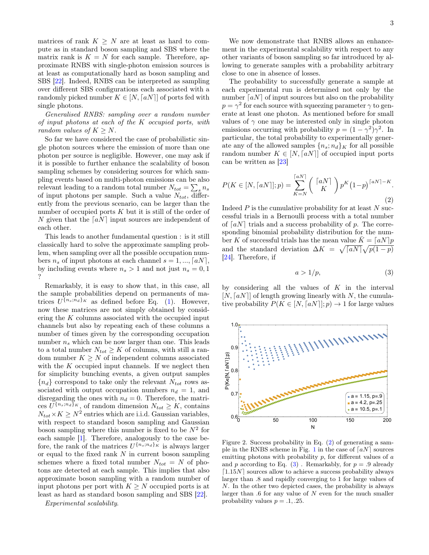matrices of rank  $K \geq N$  are at least as hard to compute as in standard boson sampling and SBS where the matrix rank is  $K = N$  for each sample. Therefore, approximate RNBS with single-photon emission sources is at least as computationally hard as boson sampling and SBS [\[22\]](#page-4-9). Indeed, RNBS can be interpreted as sampling over different SBS configurations each associated with a randomly picked number  $K \in [N, \lceil aN \rceil]$  of ports fed with single photons.

Generalised RNBS: sampling over a random number of input photons at each of the K occupied ports, with random values of  $K \geq N$ .

So far we have considered the case of probabilistic single photon sources where the emission of more than one photon per source is negligible. However, one may ask if it is possible to further enhance the scalability of boson sampling schemes by considering sources for which sampling events based on multi-photon emissions can be also relevant leading to a random total number  $N_{tot} = \sum_{s} n_s$ of input photons per sample. Such a value  $N_{tot}$ , differently from the previous scenario, can be larger than the number of occupied ports  $K$  but it is still of the order of N given that the  $\lceil aN \rceil$  input sources are independent of each other.

This leads to another fundamental question : is it still classically hard to solve the approximate sampling problem, when sampling over all the possible occupation numbers  $n_s$  of input photons at each channel  $s = 1, ..., [aN]$ , by including events where  $n_s > 1$  and not just  $n_s = 0, 1$ ?

Remarkably, it is easy to show that, in this case, all the sample probabilities depend on permanents of matrices  $U^{\{n_s;n_d\}\kappa}$  as defined before Eq. [\(1\)](#page-1-1). However, now these matrices are not simply obtained by considering the K columns associated with the occupied input channels but also by repeating each of these columns a number of times given by the corresponding occupation number  $n_s$  which can be now larger than one. This leads to a total number  $N_{tot}\geq K$  of columns, with still a random number  $K \geq N$  of independent columns associated with the  $K$  occupied input channels. If we neglect then for simplicity bunching events, a given output samples  ${n_d}$  correspond to take only the relevant  $N_{tot}$  rows associated with output occupation numbers  $n_d = 1$ , and disregarding the ones with  $n_d = 0$ . Therefore, the matrices  $U^{\{n_s; n_d\}}$ <sup>K</sup>, of random dimension  $N_{tot} \geq K$ , contains  $N_{tot} \times K \geq N^2$  entries which are i.i.d. Gaussian variables, with respect to standard boson sampling and Gaussian boson sampling where this number is fixed to be  $N^2$  for each sample [\[1\]](#page-3-0). Therefore, analogously to the case before, the rank of the matrices  $U^{\{n_s; n_d\}\kappa}$  is always larger or equal to the fixed rank  $N$  in current boson sampling schemes where a fixed total number  $N_{tot} = N$  of photons are detected at each sample. This implies that also approximate boson sampling with a random number of input photons per port with  $K \geq N$  occupied ports is at least as hard as standard boson sampling and SBS [\[22\]](#page-4-9).

Experimental scalability.

We now demonstrate that RNBS allows an enhancement in the experimental scalability with respect to any other variants of boson sampling so far introduced by allowing to generate samples with a probability arbitrary close to one in absence of losses.

The probability to successfully generate a sample at each experimental run is determined not only by the number  $[aN]$  of input sources but also on the probability  $p = \gamma^2$  for each source with squeezing parameter  $\gamma$  to generate at least one photon. As mentioned before for small values of  $\gamma$  one may be interested only in single photon emissions occurring with probability  $p = (1 - \gamma^2)\gamma^2$ . In particular, the total probability to experimentally generate any of the allowed samples  ${n_s; n_d}_{K}$  for all possible random number  $K \in [N, \lceil aN \rceil]$  of occupied input ports can be written as [\[23\]](#page-4-10)

<span id="page-2-0"></span>
$$
P(K \in [N, \lceil aN \rceil]; p) = \sum_{K=N}^{\lceil aN \rceil} {\lceil aN \rceil} p^K (1-p)^{\lceil aN \rceil - K}.
$$
\n(2)

Indeed  $P$  is the cumulative probability for at least  $N$  successful trials in a Bernoulli process with a total number of  $[aN]$  trials and a success probability of p. The corresponding binomial probability distribution for the number K of successful trials has the mean value  $\bar{K} = \lceil aN \rceil p$ and the standard deviation  $\Delta K = \sqrt{aN} \sqrt{p(1-p)}$ [\[24\]](#page-4-11). Therefore, if

<span id="page-2-1"></span>
$$
a > 1/p,\tag{3}
$$

by considering all the values of  $K$  in the interval  $[N, \lceil aN \rceil]$  of length growing linearly with N, the cumulative probability  $P(K \in [N, \lceil aN \rceil]; p) \to 1$  for large values



<span id="page-2-2"></span>Figure 2. Success probability in Eq. [\(2\)](#page-2-0) of generating a sam-ple in the RNBS scheme in Fig. [1](#page-1-0) in the case of  $[aN]$  sources emitting photons with probability  $p$ , for different values of  $a$ and p according to Eq.  $(3)$ . Remarkably, for  $p = .9$  already  $[1.15N]$  sources allow to achieve a success probability always larger than .8 and rapidly converging to 1 for large values of N. In the other two depicted cases, the probability is always larger than  $.6$  for any value of  $N$  even for the much smaller probability values  $p = .1, .25$ .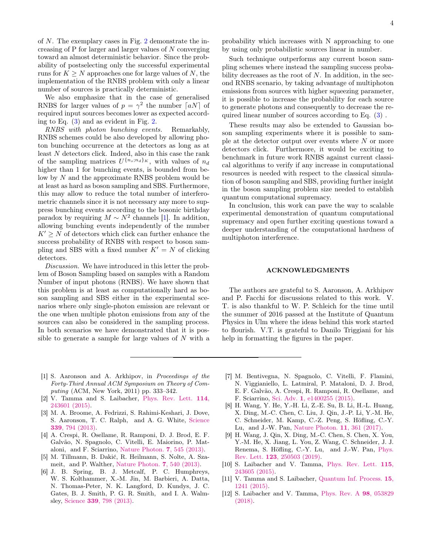of N. The exemplary cases in Fig. [2](#page-2-2) demonstrate the increasing of P for larger and larger values of N converging toward an almost deterministic behavior. Since the probability of postselecting only the successful experimental runs for  $K \geq N$  approaches one for large values of N, the implementation of the RNBS problem with only a linear number of sources is practically deterministic.

We also emphasize that in the case of generalised RNBS for larger values of  $p = \gamma^2$  the number  $\lceil aN \rceil$  of required input sources becomes lower as expected according to Eq. [\(3\)](#page-2-1) and as evident in Fig. [2.](#page-2-2)

RNBS with photon bunching events. Remarkably, RNBS schemes could be also developed by allowing photon bunching occurrence at the detectors as long as at least N detectors click. Indeed, also in this case the rank of the sampling matrices  $U^{\{n_s; n_d\}\kappa}$ , with values of  $n_d$ higher than 1 for bunching events, is bounded from below by  $N$  and the approximate RNBS problem would be at least as hard as boson sampling and SBS. Furthermore, this may allow to reduce the total number of interferometric channels since it is not necessary any more to suppress bunching events according to the bosonic birthday paradox by requiring  $M \sim N^2$  channels [\[1\]](#page-3-0). In addition, allowing bunching events independently of the number  $K' \geq N$  of detectors which click can further enhance the success probability of RNBS with respect to boson sampling and SBS with a fixed number  $K' = N$  of clicking detectors.

Discussion. We have introduced in this letter the problem of Boson Sampling based on samples with a Random Number of input photons (RNBS). We have shown that this problem is at least as computationally hard as boson sampling and SBS either in the experimental scenarios where only single-photon emission are relevant or the one when multiple photon emissions from any of the sources can also be considered in the sampling process. In both scenarios we have demonstrated that it is possible to generate a sample for large values of N with a

probability which increases with N approaching to one by using only probabilistic sources linear in number.

Such technique outperforms any current boson sampling schemes where instead the sampling success probability decreases as the root of  $N$ . In addition, in the second RNBS scenario, by taking advantage of multiphoton emissions from sources with higher squeezing parameter, it is possible to increase the probability for each source to generate photons and consequently to decrease the required linear number of sources according to Eq. [\(3\)](#page-2-1) .

These results may also be extended to Gaussian boson sampling experiments where it is possible to sample at the detector output over events where  $N$  or more detectors click. Furthermore, it would be exciting to benchmark in future work RNBS against current classical algorithms to verify if any increase in computational resources is needed with respect to the classical simulation of boson sampling and SBS, providing further insight in the boson sampling problem size needed to establish quantum computational supremacy.

In conclusion, this work can pave the way to scalable experimental demonstration of quantum computational supremacy and open further exciting questions toward a deeper understanding of the computational hardness of multiphoton interference.

## ACKNOWLEDGMENTS

The authors are grateful to S. Aaronson, A. Arkhipov and P. Facchi for discussions related to this work. V. T. is also thankful to W. P. Schleich for the time until the summer of 2016 passed at the Institute of Quantum Physics in Ulm where the ideas behind this work started to flourish. V.T. is grateful to Danilo Triggiani for his help in formatting the figures in the paper.

- <span id="page-3-0"></span>[1] S. Aaronson and A. Arkhipov, in Proceedings of the Forty-Third Annual ACM Symposium on Theory of Computing (ACM, New York, 2011) pp. 333–342.
- <span id="page-3-1"></span>[2] V. Tamma and S. Laibacher, [Phys. Rev. Lett.](http://dx.doi.org/10.1103/PhysRevLett.114.243601) 114, [243601 \(2015\).](http://dx.doi.org/10.1103/PhysRevLett.114.243601)
- <span id="page-3-2"></span>[3] M. A. Broome, A. Fedrizzi, S. Rahimi-Keshari, J. Dove, S. Aaronson, T. C. Ralph, and A. G. White, [Science](http://dx.doi.org/ 10.1126/science.1231440) 339[, 794 \(2013\).](http://dx.doi.org/ 10.1126/science.1231440)
- [4] A. Crespi, R. Osellame, R. Ramponi, D. J. Brod, E. F. Galvão, N. Spagnolo, C. Vitelli, E. Maiorino, P. Mataloni, and F. Sciarrino, [Nature Photon.](http://dx.doi.org/10.1038/nphoton.2013.112) 7, 545 (2013).
- [5] M. Tillmann, B. Dakić, R. Heilmann, S. Nolte, A. Szameit, and P. Walther, [Nature Photon.](http://dx.doi.org/ 10.1038/nphoton.2013.102) 7, 540 (2013).
- [6] J. B. Spring, B. J. Metcalf, P. C. Humphreys, W. S. Kolthammer, X.-M. Jin, M. Barbieri, A. Datta, N. Thomas-Peter, N. K. Langford, D. Kundys, J. C. Gates, B. J. Smith, P. G. R. Smith, and I. A. Walmsley, Science 339[, 798 \(2013\).](http://dx.doi.org/ 10.1126/science.1231692)
- <span id="page-3-5"></span>[7] M. Bentivegna, N. Spagnolo, C. Vitelli, F. Flamini, N. Viggianiello, L. Latmiral, P. Mataloni, D. J. Brod, E. F. Galvão, A. Crespi, R. Ramponi, R. Osellame, and F. Sciarrino, Sci. Adv. 1[, e1400255 \(2015\).](http://dx.doi.org/10.1126/sciadv.1400255)
- [8] H. Wang, Y. He, Y.-H. Li, Z.-E. Su, B. Li, H.-L. Huang, X. Ding, M.-C. Chen, C. Liu, J. Qin, J.-P. Li, Y.-M. He, C. Schneider, M. Kamp, C.-Z. Peng, S. Höfling, C.-Y. Lu, and J.-W. Pan, [Nature Photon.](http://dx.doi.org/ 10.1038/nphoton.2017.63) 11, 361 (2017).
- <span id="page-3-3"></span>[9] H. Wang, J. Qin, X. Ding, M.-C. Chen, S. Chen, X. You, Y.-M. He, X. Jiang, L. You, Z. Wang, C. Schneider, J. J. Renema, S. Höfling, C.-Y. Lu, and J.-W. Pan, [Phys.](http://dx.doi.org/ 10.1103/PhysRevLett.123.250503) Rev. Lett. 123[, 250503 \(2019\).](http://dx.doi.org/ 10.1103/PhysRevLett.123.250503)
- <span id="page-3-4"></span>[10] S. Laibacher and V. Tamma, [Phys. Rev. Lett.](http://dx.doi.org/10.1103/PhysRevLett.115.243605) 115, [243605 \(2015\).](http://dx.doi.org/10.1103/PhysRevLett.115.243605)
- [11] V. Tamma and S. Laibacher, [Quantum Inf. Process.](http://dx.doi.org/10.1007/s11128-015-1177-8) **15**, [1241 \(2015\).](http://dx.doi.org/10.1007/s11128-015-1177-8)
- [12] S. Laibacher and V. Tamma, [Phys. Rev. A](http://dx.doi.org/10.1103/PhysRevA.98.053829) 98, 053829 [\(2018\).](http://dx.doi.org/10.1103/PhysRevA.98.053829)